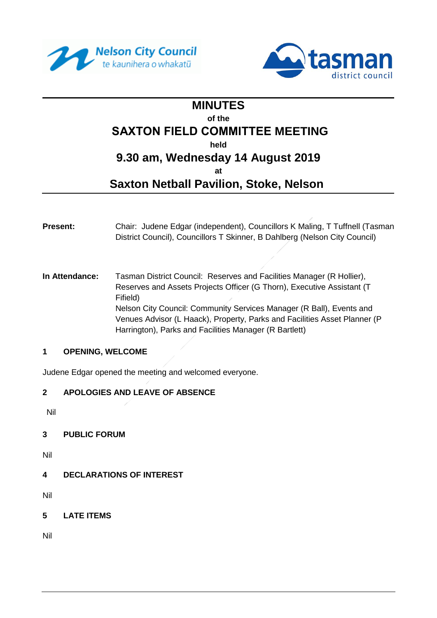



## **MINUTES of the SAXTON FIELD COMMITTEE MEETING held 9.30 am, Wednesday 14 August 2019 at**

# **Saxton Netball Pavilion, Stoke, Nelson**

- **Present:** Chair: Judene Edgar (independent), Councillors K Maling, T Tuffnell (Tasman District Council), Councillors T Skinner, B Dahlberg (Nelson City Council)
- **In Attendance:** Tasman District Council: Reserves and Facilities Manager (R Hollier), Reserves and Assets Projects Officer (G Thorn), Executive Assistant (T Fifield) Nelson City Council: Community Services Manager (R Ball), Events and Venues Advisor (L Haack), Property, Parks and Facilities Asset Planner (P Harrington), Parks and Facilities Manager (R Bartlett)

#### **1 OPENING, WELCOME**

Judene Edgar opened the meeting and welcomed everyone.

## **2 APOLOGIES AND LEAVE OF ABSENCE**

Nil

## **3 PUBLIC FORUM**

Nil

**4 DECLARATIONS OF INTEREST**

Nil

**5 LATE ITEMS** 

Nil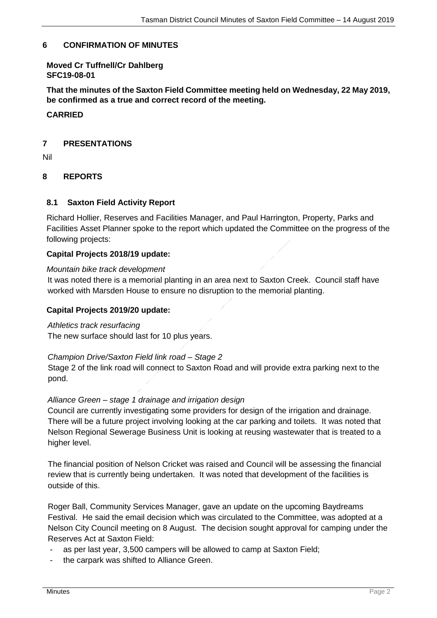#### **6 CONFIRMATION OF MINUTES**

#### **Moved Cr Tuffnell/Cr Dahlberg SFC19-08-01**

**That the minutes of the Saxton Field Committee meeting held on Wednesday, 22 May 2019, be confirmed as a true and correct record of the meeting.**

#### **CARRIED**

#### **7 PRESENTATIONS**

Nil

#### **8 REPORTS**

#### **8.1 Saxton Field Activity Report**

Richard Hollier, Reserves and Facilities Manager, and Paul Harrington, Property, Parks and Facilities Asset Planner spoke to the report which updated the Committee on the progress of the following projects:

#### **Capital Projects 2018/19 update:**

#### *Mountain bike track development*

It was noted there is a memorial planting in an area next to Saxton Creek. Council staff have worked with Marsden House to ensure no disruption to the memorial planting.

#### **Capital Projects 2019/20 update:**

#### *Athletics track resurfacing*

The new surface should last for 10 plus years.

#### *Champion Drive/Saxton Field link road – Stage 2*

Stage 2 of the link road will connect to Saxton Road and will provide extra parking next to the pond.

#### *Alliance Green – stage 1 drainage and irrigation design*

Council are currently investigating some providers for design of the irrigation and drainage. There will be a future project involving looking at the car parking and toilets. It was noted that Nelson Regional Sewerage Business Unit is looking at reusing wastewater that is treated to a higher level.

The financial position of Nelson Cricket was raised and Council will be assessing the financial review that is currently being undertaken. It was noted that development of the facilities is outside of this.

Roger Ball, Community Services Manager, gave an update on the upcoming Baydreams Festival. He said the email decision which was circulated to the Committee, was adopted at a Nelson City Council meeting on 8 August. The decision sought approval for camping under the Reserves Act at Saxton Field:

- as per last year, 3,500 campers will be allowed to camp at Saxton Field;
- the carpark was shifted to Alliance Green.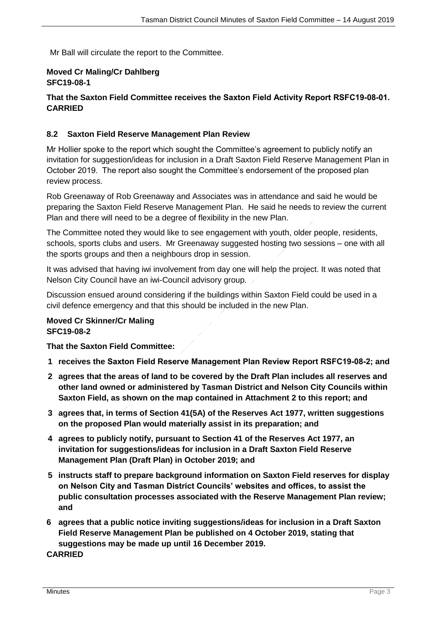Mr Ball will circulate the report to the Committee.

#### **Moved Cr Maling/Cr Dahlberg SFC19-08-1**

## **That the Saxton Field Committee receives the Saxton Field Activity Report RSFC19-08-01. CARRIED**

#### **8.2 Saxton Field Reserve Management Plan Review**

Mr Hollier spoke to the report which sought the Committee's agreement to publicly notify an invitation for suggestion/ideas for inclusion in a Draft Saxton Field Reserve Management Plan in October 2019. The report also sought the Committee's endorsement of the proposed plan review process.

Rob Greenaway of Rob Greenaway and Associates was in attendance and said he would be preparing the Saxton Field Reserve Management Plan. He said he needs to review the current Plan and there will need to be a degree of flexibility in the new Plan.

The Committee noted they would like to see engagement with youth, older people, residents, schools, sports clubs and users. Mr Greenaway suggested hosting two sessions – one with all the sports groups and then a neighbours drop in session.

It was advised that having iwi involvement from day one will help the project. It was noted that Nelson City Council have an iwi-Council advisory group.

Discussion ensued around considering if the buildings within Saxton Field could be used in a civil defence emergency and that this should be included in the new Plan.

#### **Moved Cr Skinner/Cr Maling SFC19-08-2**

**That the Saxton Field Committee:**

- **1 receives the Saxton Field Reserve Management Plan Review Report RSFC19-08-2; and**
- **2 agrees that the areas of land to be covered by the Draft Plan includes all reserves and other land owned or administered by Tasman District and Nelson City Councils within Saxton Field, as shown on the map contained in Attachment 2 to this report; and**
- **3 agrees that, in terms of Section 41(5A) of the Reserves Act 1977, written suggestions on the proposed Plan would materially assist in its preparation; and**
- **4 agrees to publicly notify, pursuant to Section 41 of the Reserves Act 1977, an invitation for suggestions/ideas for inclusion in a Draft Saxton Field Reserve Management Plan (Draft Plan) in October 2019; and**
- **5 instructs staff to prepare background information on Saxton Field reserves for display on Nelson City and Tasman District Councils' websites and offices, to assist the public consultation processes associated with the Reserve Management Plan review; and**
- **6 agrees that a public notice inviting suggestions/ideas for inclusion in a Draft Saxton Field Reserve Management Plan be published on 4 October 2019, stating that suggestions may be made up until 16 December 2019.**

**CARRIED**